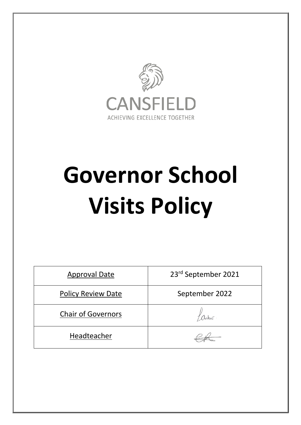

# **Governor School Visits Policy**

| <b>Approval Date</b>      | 23rd September 2021 |
|---------------------------|---------------------|
| <b>Policy Review Date</b> | September 2022      |
| <b>Chair of Governors</b> |                     |
| Headteacher               |                     |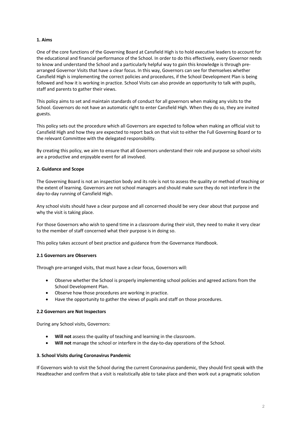# **1. Aims**

One of the core functions of the Governing Board at Cansfield High is to hold executive leaders to account for the educational and financial performance of the School. In order to do this effectively, every Governor needs to know and understand the School and a particularly helpful way to gain this knowledge is through prearranged Governor Visits that have a clear focus. In this way, Governors can see for themselves whether Cansfield High is implementing the correct policies and procedures, if the School Development Plan is being followed and how it is working in practice. School Visits can also provide an opportunity to talk with pupils, staff and parents to gather their views.

This policy aims to set and maintain standards of conduct for all governors when making any visits to the School. Governors do not have an automatic right to enter Cansfield High. When they do so, they are invited guests.

This policy sets out the procedure which all Governors are expected to follow when making an official visit to Cansfield High and how they are expected to report back on that visit to either the Full Governing Board or to the relevant Committee with the delegated responsibility.

By creating this policy, we aim to ensure that all Governors understand their role and purpose so school visits are a productive and enjoyable event for all involved.

## **2. Guidance and Scope**

The Governing Board is not an inspection body and its role is not to assess the quality or method of teaching or the extent of learning. Governors are not school managers and should make sure they do not interfere in the day-to-day running of Cansfield High.

Any school visits should have a clear purpose and all concerned should be very clear about that purpose and why the visit is taking place.

For those Governors who wish to spend time in a classroom during their visit, they need to make it very clear to the member of staff concerned what their purpose is in doing so.

This policy takes account of best practice and guidance from the Governance Handbook.

## **2.1 Governors are Observers**

Through pre-arranged visits, that must have a clear focus, Governors will:

- Observe whether the School is properly implementing school policies and agreed actions from the School Development Plan.
- Observe how those procedures are working in practice.
- Have the opportunity to gather the views of pupils and staff on those procedures.

## **2.2 Governors are Not Inspectors**

During any School visits, Governors:

- **Will not** assess the quality of teaching and learning in the classroom.
- **Will not** manage the school or interfere in the day-to-day operations of the School.

## **3. School Visits during Coronavirus Pandemic**

If Governors wish to visit the School during the current Coronavirus pandemic, they should first speak with the Headteacher and confirm that a visit is realistically able to take place and then work out a pragmatic solution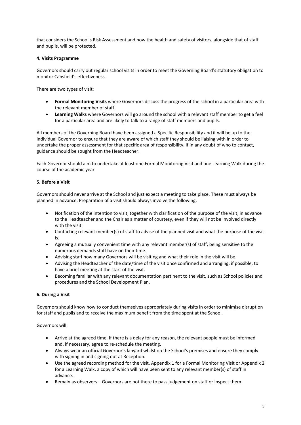that considers the School's Risk Assessment and how the health and safety of visitors, alongside that of staff and pupils, will be protected.

# **4. Visits Programme**

Governors should carry out regular school visits in order to meet the Governing Board's statutory obligation to monitor Cansfield's effectiveness.

There are two types of visit:

- **Formal Monitoring Visits** where Governors discuss the progress of the school in a particular area with the relevant member of staff.
- **Learning Walks** where Governors will go around the school with a relevant staff member to get a feel for a particular area and are likely to talk to a range of staff members and pupils.

All members of the Governing Board have been assigned a Specific Responsibility and it will be up to the individual Governor to ensure that they are aware of which staff they should be liaising with in order to undertake the proper assessment for that specific area of responsibility. If in any doubt of who to contact, guidance should be sought from the Headteacher.

Each Governor should aim to undertake at least one Formal Monitoring Visit and one Learning Walk during the course of the academic year.

# **5. Before a Visit**

Governors should never arrive at the School and just expect a meeting to take place. These must always be planned in advance. Preparation of a visit should always involve the following:

- Notification of the intention to visit, together with clarification of the purpose of the visit, in advance to the Headteacher and the Chair as a matter of courtesy, even if they will not be involved directly with the visit.
- Contacting relevant member(s) of staff to advise of the planned visit and what the purpose of the visit is.
- Agreeing a mutually convenient time with any relevant member(s) of staff, being sensitive to the numerous demands staff have on their time.
- Advising staff how many Governors will be visiting and what their role in the visit will be.
- Advising the Headteacher of the date/time of the visit once confirmed and arranging, if possible, to have a brief meeting at the start of the visit.
- Becoming familiar with any relevant documentation pertinent to the visit, such as School policies and procedures and the School Development Plan.

# **6. During a Visit**

Governors should know how to conduct themselves appropriately during visits in order to minimise disruption for staff and pupils and to receive the maximum benefit from the time spent at the School.

Governors will:

- Arrive at the agreed time. If there is a delay for any reason, the relevant people must be informed and, if necessary, agree to re-schedule the meeting.
- Always wear an official Governor's lanyard whilst on the School's premises and ensure they comply with signing in and signing out at Reception.
- Use the agreed recording method for the visit, Appendix 1 for a Formal Monitoring Visit or Appendix 2 for a Learning Walk, a copy of which will have been sent to any relevant member(s) of staff in advance.
- Remain as observers Governors are not there to pass judgement on staff or inspect them.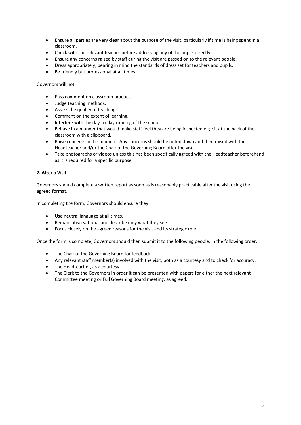- Ensure all parties are very clear about the purpose of the visit, particularly if time is being spent in a classroom.
- Check with the relevant teacher before addressing any of the pupils directly.
- Ensure any concerns raised by staff during the visit are passed on to the relevant people.
- Dress appropriately, bearing in mind the standards of dress set for teachers and pupils.
- Be friendly but professional at all times.

Governors will not:

- Pass comment on classroom practice.
- Judge teaching methods.
- Assess the quality of teaching.
- Comment on the extent of learning.
- Interfere with the day-to-day running of the school.
- Behave in a manner that would make staff feel they are being inspected e.g. sit at the back of the classroom with a clipboard.
- Raise concerns in the moment. Any concerns should be noted down and then raised with the Headteacher and/or the Chair of the Governing Board after the visit.
- Take photographs or videos unless this has been specifically agreed with the Headteacher beforehand as it is required for a specific purpose.

# **7. After a Visit**

Governors should complete a written report as soon as is reasonably practicable after the visit using the agreed format.

In completing the form, Governors should ensure they:

- Use neutral language at all times.
- Remain observational and describe only what they see.
- Focus closely on the agreed reasons for the visit and its strategic role.

Once the form is complete, Governors should then submit it to the following people, in the following order:

- The Chair of the Governing Board for feedback.
- Any relevant staff member(s) involved with the visit, both as a courtesy and to check for accuracy.
- The Headteacher, as a courtesy.
- The Clerk to the Governors in order it can be presented with papers for either the next relevant Committee meeting or Full Governing Board meeting, as agreed.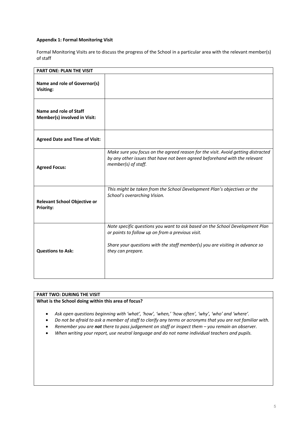# **Appendix 1: Formal Monitoring Visit**

Formal Monitoring Visits are to discuss the progress of the School in a particular area with the relevant member(s) of staff

| <b>PART ONE: PLAN THE VISIT</b>                         |                                                                                                                                                                                                                                       |
|---------------------------------------------------------|---------------------------------------------------------------------------------------------------------------------------------------------------------------------------------------------------------------------------------------|
| Name and role of Governor(s)<br>Visiting:               |                                                                                                                                                                                                                                       |
| Name and role of Staff<br>Member(s) involved in Visit:  |                                                                                                                                                                                                                                       |
| <b>Agreed Date and Time of Visit:</b>                   |                                                                                                                                                                                                                                       |
| <b>Agreed Focus:</b>                                    | Make sure you focus on the agreed reason for the visit. Avoid getting distracted<br>by any other issues that have not been agreed beforehand with the relevant<br>member(s) of staff.                                                 |
| <b>Relevant School Objective or</b><br><b>Priority:</b> | This might be taken from the School Development Plan's objectives or the<br>School's overarching Vision.                                                                                                                              |
| <b>Questions to Ask:</b>                                | Note specific questions you want to ask based on the School Development Plan<br>or points to follow up on from a previous visit.<br>Share your questions with the staff member(s) you are visiting in advance so<br>they can prepare. |

# **PART TWO: DURING THE VISIT**

# **What is the School doing within this area of focus?**

- *Ask open questions beginning with 'what', 'how', 'when,' 'how often', 'why', 'who' and 'where'.*
- *Do not be afraid to ask a member of staff to clarify any terms or acronyms that you are not familiar with.*
- *Remember you are not there to pass judgement on staff or inspect them – you remain an observer.*
- *When writing your report, use neutral language and do not name individual teachers and pupils.*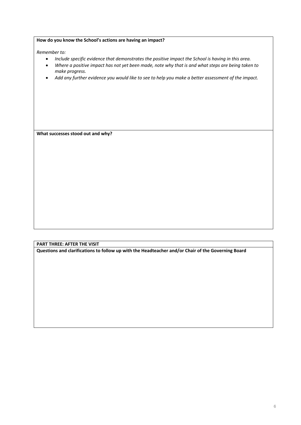| How do you know the School's actions are having an impact? |  |
|------------------------------------------------------------|--|
|------------------------------------------------------------|--|

*Remember to:*

- *Include specific evidence that demonstrates the positive impact the School is having in this area.*
- *Where a positive impact has not yet been made, note why that is and what steps are being taken to make progress.*
- *Add any further evidence you would like to see to help you make a better assessment of the impact.*

**What successes stood out and why?**

# **PART THREE: AFTER THE VISIT**

**Questions and clarifications to follow up with the Headteacher and/or Chair of the Governing Board**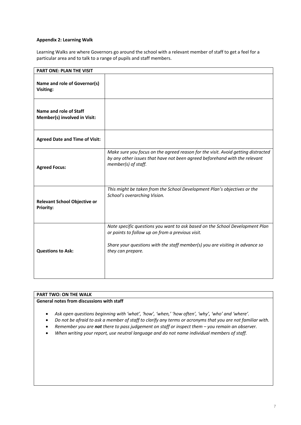## **Appendix 2: Learning Walk**

Learning Walks are where Governors go around the school with a relevant member of staff to get a feel for a particular area and to talk to a range of pupils and staff members.

| <b>PART ONE: PLAN THE VISIT</b>                         |                                                                                                                                                                                                                                       |
|---------------------------------------------------------|---------------------------------------------------------------------------------------------------------------------------------------------------------------------------------------------------------------------------------------|
| Name and role of Governor(s)<br>Visiting:               |                                                                                                                                                                                                                                       |
| Name and role of Staff<br>Member(s) involved in Visit:  |                                                                                                                                                                                                                                       |
| <b>Agreed Date and Time of Visit:</b>                   |                                                                                                                                                                                                                                       |
| <b>Agreed Focus:</b>                                    | Make sure you focus on the agreed reason for the visit. Avoid getting distracted<br>by any other issues that have not been agreed beforehand with the relevant<br>member(s) of staff.                                                 |
| <b>Relevant School Objective or</b><br><b>Priority:</b> | This might be taken from the School Development Plan's objectives or the<br>School's overarching Vision.                                                                                                                              |
| <b>Questions to Ask:</b>                                | Note specific questions you want to ask based on the School Development Plan<br>or points to follow up on from a previous visit.<br>Share your questions with the staff member(s) you are visiting in advance so<br>they can prepare. |

# **PART TWO: ON THE WALK**

# **General notes from discussions with staff**

- *Ask open questions beginning with 'what', 'how', 'when,' 'how often', 'why', 'who' and 'where'.*
- *Do not be afraid to ask a member of staff to clarify any terms or acronyms that you are not familiar with.*
- *Remember you are not there to pass judgement on staff or inspect them – you remain an observer.*
- *When writing your report, use neutral language and do not name individual members of staff.*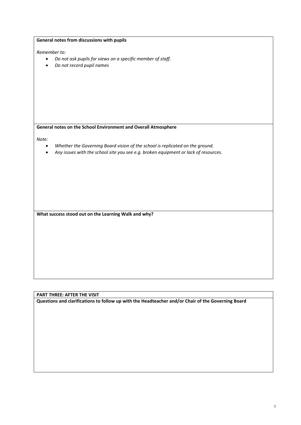| General notes from discussions with pupils                                                                                                                                                              |  |
|---------------------------------------------------------------------------------------------------------------------------------------------------------------------------------------------------------|--|
| Remember to:                                                                                                                                                                                            |  |
| Do not ask pupils for views on a specific member of staff.<br>$\bullet$<br>Do not record pupil names<br>$\bullet$                                                                                       |  |
|                                                                                                                                                                                                         |  |
|                                                                                                                                                                                                         |  |
| General notes on the School Environment and Overall Atmosphere                                                                                                                                          |  |
| Note:<br>Whether the Governing Board vision of the school is replicated on the ground.<br>$\bullet$<br>Any issues with the school site you see e.g. broken equipment or lack of resources.<br>$\bullet$ |  |
|                                                                                                                                                                                                         |  |
| What success stood out on the Learning Walk and why?                                                                                                                                                    |  |
|                                                                                                                                                                                                         |  |
|                                                                                                                                                                                                         |  |
|                                                                                                                                                                                                         |  |
|                                                                                                                                                                                                         |  |

**PART THREE: AFTER THE VISIT**

**Questions and clarifications to follow up with the Headteacher and/or Chair of the Governing Board**